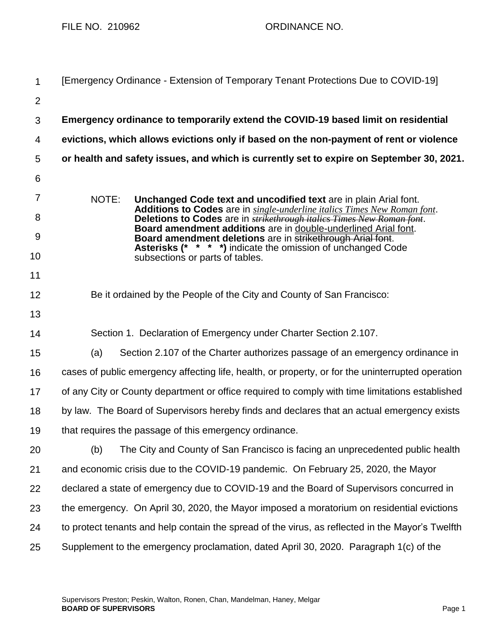FILE NO. 210962 ORDINANCE NO.

| 1              | [Emergency Ordinance - Extension of Temporary Tenant Protections Due to COVID-19]                                                                                                                                                                                                                                                                                                                                                                                               |
|----------------|---------------------------------------------------------------------------------------------------------------------------------------------------------------------------------------------------------------------------------------------------------------------------------------------------------------------------------------------------------------------------------------------------------------------------------------------------------------------------------|
| $\overline{2}$ |                                                                                                                                                                                                                                                                                                                                                                                                                                                                                 |
| 3              | Emergency ordinance to temporarily extend the COVID-19 based limit on residential                                                                                                                                                                                                                                                                                                                                                                                               |
| 4              | evictions, which allows evictions only if based on the non-payment of rent or violence                                                                                                                                                                                                                                                                                                                                                                                          |
| 5              | or health and safety issues, and which is currently set to expire on September 30, 2021.                                                                                                                                                                                                                                                                                                                                                                                        |
| 6              |                                                                                                                                                                                                                                                                                                                                                                                                                                                                                 |
| 7              | NOTE:<br>Unchanged Code text and uncodified text are in plain Arial font.<br>Additions to Codes are in single-underline italics Times New Roman font.<br>Deletions to Codes are in <b>strikethrough italics Times New Roman font</b> .<br>Board amendment additions are in double-underlined Arial font.<br>Board amendment deletions are in strikethrough Arial font.<br><b>Asterisks (* * * *)</b> indicate the omission of unchanged Code<br>subsections or parts of tables. |
| 8              |                                                                                                                                                                                                                                                                                                                                                                                                                                                                                 |
| 9              |                                                                                                                                                                                                                                                                                                                                                                                                                                                                                 |
| 10             |                                                                                                                                                                                                                                                                                                                                                                                                                                                                                 |
| 11             |                                                                                                                                                                                                                                                                                                                                                                                                                                                                                 |
| 12             | Be it ordained by the People of the City and County of San Francisco:                                                                                                                                                                                                                                                                                                                                                                                                           |
| 13             |                                                                                                                                                                                                                                                                                                                                                                                                                                                                                 |
| 14             | Section 1. Declaration of Emergency under Charter Section 2.107.                                                                                                                                                                                                                                                                                                                                                                                                                |
| 15             | (a)<br>Section 2.107 of the Charter authorizes passage of an emergency ordinance in                                                                                                                                                                                                                                                                                                                                                                                             |
| 16             | cases of public emergency affecting life, health, or property, or for the uninterrupted operation                                                                                                                                                                                                                                                                                                                                                                               |
| 17             | of any City or County department or office required to comply with time limitations established                                                                                                                                                                                                                                                                                                                                                                                 |
| 18             | by law. The Board of Supervisors hereby finds and declares that an actual emergency exists                                                                                                                                                                                                                                                                                                                                                                                      |
| 19             | that requires the passage of this emergency ordinance.                                                                                                                                                                                                                                                                                                                                                                                                                          |
| 20             | The City and County of San Francisco is facing an unprecedented public health<br>(b)                                                                                                                                                                                                                                                                                                                                                                                            |
| 21             | and economic crisis due to the COVID-19 pandemic. On February 25, 2020, the Mayor                                                                                                                                                                                                                                                                                                                                                                                               |
| 22             | declared a state of emergency due to COVID-19 and the Board of Supervisors concurred in                                                                                                                                                                                                                                                                                                                                                                                         |
| 23             | the emergency. On April 30, 2020, the Mayor imposed a moratorium on residential evictions                                                                                                                                                                                                                                                                                                                                                                                       |
| 24             | to protect tenants and help contain the spread of the virus, as reflected in the Mayor's Twelfth                                                                                                                                                                                                                                                                                                                                                                                |
| 25             | Supplement to the emergency proclamation, dated April 30, 2020. Paragraph 1(c) of the                                                                                                                                                                                                                                                                                                                                                                                           |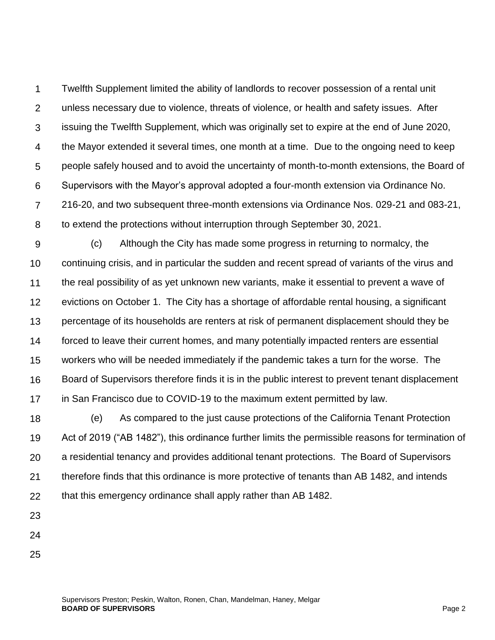1  $\mathcal{P}$ 3 4 5 6 7 8 Twelfth Supplement limited the ability of landlords to recover possession of a rental unit unless necessary due to violence, threats of violence, or health and safety issues. After issuing the Twelfth Supplement, which was originally set to expire at the end of June 2020, the Mayor extended it several times, one month at a time. Due to the ongoing need to keep people safely housed and to avoid the uncertainty of month-to-month extensions, the Board of Supervisors with the Mayor's approval adopted a four-month extension via Ordinance No. 216-20, and two subsequent three-month extensions via Ordinance Nos. 029-21 and 083-21, to extend the protections without interruption through September 30, 2021.

9 10 11 12 13 14 15 16 17 (c) Although the City has made some progress in returning to normalcy, the continuing crisis, and in particular the sudden and recent spread of variants of the virus and the real possibility of as yet unknown new variants, make it essential to prevent a wave of evictions on October 1. The City has a shortage of affordable rental housing, a significant percentage of its households are renters at risk of permanent displacement should they be forced to leave their current homes, and many potentially impacted renters are essential workers who will be needed immediately if the pandemic takes a turn for the worse. The Board of Supervisors therefore finds it is in the public interest to prevent tenant displacement in San Francisco due to COVID-19 to the maximum extent permitted by law.

18 19 20 21 22 (e) As compared to the just cause protections of the California Tenant Protection Act of 2019 ("AB 1482"), this ordinance further limits the permissible reasons for termination of a residential tenancy and provides additional tenant protections. The Board of Supervisors therefore finds that this ordinance is more protective of tenants than AB 1482, and intends that this emergency ordinance shall apply rather than AB 1482.

23

- 24
- 25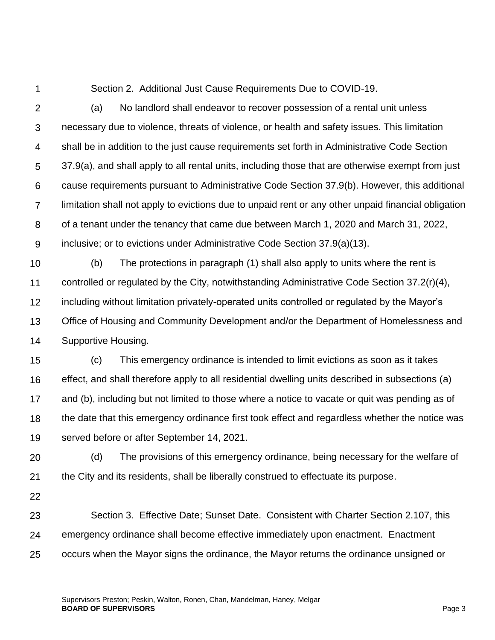1

Section 2. Additional Just Cause Requirements Due to COVID-19.

 $\mathcal{P}$ 

3 4 5 6 7 8 9 (a) No landlord shall endeavor to recover possession of a rental unit unless necessary due to violence, threats of violence, or health and safety issues. This limitation shall be in addition to the just cause requirements set forth in Administrative Code Section 37.9(a), and shall apply to all rental units, including those that are otherwise exempt from just cause requirements pursuant to Administrative Code Section 37.9(b). However, this additional limitation shall not apply to evictions due to unpaid rent or any other unpaid financial obligation of a tenant under the tenancy that came due between March 1, 2020 and March 31, 2022, inclusive; or to evictions under Administrative Code Section 37.9(a)(13).

10 11 12 13 14 (b) The protections in paragraph (1) shall also apply to units where the rent is controlled or regulated by the City, notwithstanding Administrative Code Section 37.2(r)(4), including without limitation privately-operated units controlled or regulated by the Mayor's Office of Housing and Community Development and/or the Department of Homelessness and Supportive Housing.

15 16 17 18 19 (c) This emergency ordinance is intended to limit evictions as soon as it takes effect, and shall therefore apply to all residential dwelling units described in subsections (a) and (b), including but not limited to those where a notice to vacate or quit was pending as of the date that this emergency ordinance first took effect and regardless whether the notice was served before or after September 14, 2021.

20 21 (d) The provisions of this emergency ordinance, being necessary for the welfare of the City and its residents, shall be liberally construed to effectuate its purpose.

22

23 24 25 Section 3. Effective Date; Sunset Date. Consistent with Charter Section 2.107, this emergency ordinance shall become effective immediately upon enactment. Enactment occurs when the Mayor signs the ordinance, the Mayor returns the ordinance unsigned or